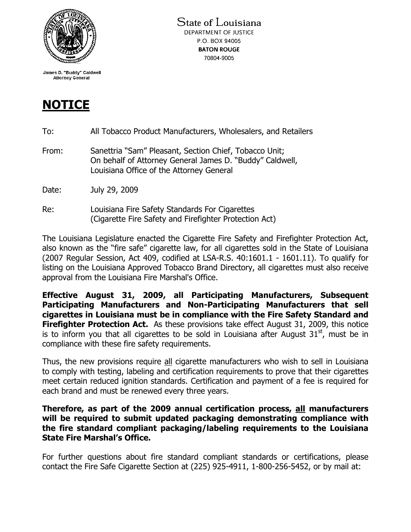

James D. "Buddy" Caldwell **Attorney General** 

## NOTICE

- To: All Tobacco Product Manufacturers, Wholesalers, and Retailers
- From: Sanettria "Sam" Pleasant, Section Chief, Tobacco Unit; On behalf of Attorney General James D. "Buddy" Caldwell, Louisiana Office of the Attorney General
- Date: July 29, 2009
- Re: Louisiana Fire Safety Standards For Cigarettes (Cigarette Fire Safety and Firefighter Protection Act)

The Louisiana Legislature enacted the Cigarette Fire Safety and Firefighter Protection Act, also known as the "fire safe" cigarette law, for all cigarettes sold in the State of Louisiana (2007 Regular Session, Act 409, codified at LSA-R.S. 40:1601.1 - 1601.11). To qualify for listing on the Louisiana Approved Tobacco Brand Directory, all cigarettes must also receive approval from the Louisiana Fire Marshal's Office.

Effective August 31, 2009, all Participating Manufacturers, Subsequent Participating Manufacturers and Non-Participating Manufacturers that sell cigarettes in Louisiana must be in compliance with the Fire Safety Standard and **Firefighter Protection Act.** As these provisions take effect August 31, 2009, this notice is to inform you that all cigarettes to be sold in Louisiana after August  $31<sup>st</sup>$ , must be in compliance with these fire safety requirements.

Thus, the new provisions require all cigarette manufacturers who wish to sell in Louisiana to comply with testing, labeling and certification requirements to prove that their cigarettes meet certain reduced ignition standards. Certification and payment of a fee is required for each brand and must be renewed every three years.

Therefore, as part of the 2009 annual certification process, all manufacturers will be required to submit updated packaging demonstrating compliance with the fire standard compliant packaging/labeling requirements to the Louisiana State Fire Marshal's Office.

For further questions about fire standard compliant standards or certifications, please contact the Fire Safe Cigarette Section at (225) 925-4911, 1-800-256-5452, or by mail at: